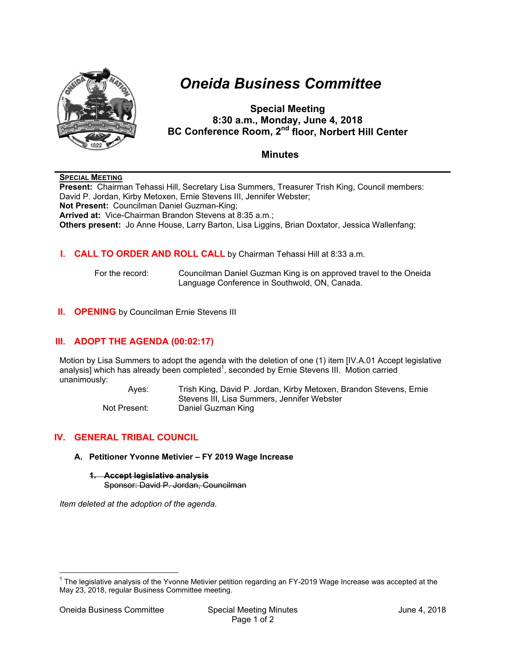

# *Oneida Business Committee*

**Special Meeting 8:30 a.m., Monday, June 4, 2018 BC Conference Room, 2nd floor, Norbert Hill Center** 

# **Minutes**

## **SPECIAL MEETING**

**Present:** Chairman Tehassi Hill, Secretary Lisa Summers, Treasurer Trish King, Council members: David P. Jordan, Kirby Metoxen, Ernie Stevens III, Jennifer Webster; **Not Present:** Councilman Daniel Guzman-King; **Arrived at:** Vice-Chairman Brandon Stevens at 8:35 a.m.; **Others present:** Jo Anne House, Larry Barton, Lisa Liggins, Brian Doxtator, Jessica Wallenfang;

## **I. CALL TO ORDER AND ROLL CALL** by Chairman Tehassi Hill at 8:33 a.m.

 For the record: Councilman Daniel Guzman King is on approved travel to the Oneida Language Conference in Southwold, ON, Canada.

## **II. OPENING** by Councilman Ernie Stevens III

# **III. ADOPT THE AGENDA (00:02:17)**

Motion by Lisa Summers to adopt the agenda with the deletion of one (1) item [IV.A.01 Accept legislative analysis] which has already been completed<sup>1</sup>, seconded by Ernie Stevens III. Motion carried unanimously:

> Ayes: Trish King, David P. Jordan, Kirby Metoxen, Brandon Stevens, Ernie Stevens III, Lisa Summers, Jennifer Webster Not Present: Daniel Guzman King

## **IV. GENERAL TRIBAL COUNCIL**

#### **A. Petitioner Yvonne Metivier – FY 2019 Wage Increase**

**1. Accept legislative analysis**  Sponsor: David P. Jordan, Councilman

*Item deleted at the adoption of the agenda.* 

 $\overline{a}$ 

 $1$  The legislative analysis of the Yvonne Metivier petition regarding an FY-2019 Wage Increase was accepted at the May 23, 2018, regular Business Committee meeting.